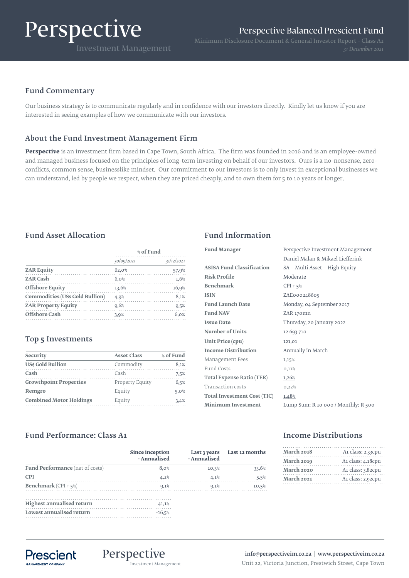# Perspective

# Fund Commentary

Our business strategy is to communicate regularly and in confidence with our investors directly. Kindly let us know if you are interested in seeing examples of how we communicate with our investors.

# About the Fund Investment Management Firm

**Perspective** is an investment firm based in Cape Town, South Africa. The firm was founded in 2016 and is an employee-owned and managed business focused on the principles of long-term investing on behalf of our investors. Ours is a no-nonsense, zeroconflicts, common sense, businesslike mindset. Our commitment to our investors is to only invest in exceptional businesses we can understand, led by people we respect, when they are priced cheaply, and to own them for 5 to 10 years or longer.

# Fund Asset Allocation Fund Information

|                                        | % of Fund  |            |
|----------------------------------------|------------|------------|
|                                        | 30/09/2021 | 31/12/2021 |
| <b>ZAR Equity</b>                      | 62,0%      | 57,9%      |
| <b>ZAR Cash</b>                        | 6.0%       | 1,6%       |
| <b>Offshore Equity</b>                 | 13,6%      | 16,9%      |
| <b>Commodities (US\$ Gold Bullion)</b> | 4,9%       | 8,1%       |
| <b>ZAR Property Equity</b>             | 9,6%       | 9,5%       |
| Offshore Cash                          | 3.9%       | 6.0%       |

## Top 5 Investments

| % of Fund |
|-----------|
| 8,1%      |
| 7.5%      |
| 6,5%      |
| 5.0%      |
| 3.4%      |
|           |

| <b>Fund Manager</b>              | Perspective Investment Management   |
|----------------------------------|-------------------------------------|
|                                  | Daniel Malan & Mikael Liefferink    |
| <b>ASISA Fund Classification</b> | SA - Multi Asset - High Equity      |
| <b>Risk Profile</b>              | Moderate                            |
| <b>Benchmark</b>                 | $CPI + 5%$                          |
| <b>ISIN</b>                      | ZAE000248605                        |
| <b>Fund Launch Date</b>          | Monday, 04 September 2017           |
| <b>Fund NAV</b>                  | ZAR 170mn                           |
| <b>Issue Date</b>                | Thursday, 20 January 2022           |
| Number of Units                  | 12 693 710                          |
| <b>Unit Price (cpu)</b>          | 121,01                              |
| <b>Income Distribution</b>       | Annually in March                   |
| Management Fees                  | 1,15%                               |
| Fund Costs                       | 0,11%                               |
| Total Expense Ratio (TER)        | 1,26%                               |
| <b>Transaction costs</b>         | 0,22%                               |
| Total Investment Cost (TIC)      | 1,48%                               |
| <b>Minimum Investment</b>        | Lump Sum: R 10 000 / Monthly: R 500 |
|                                  |                                     |

# Fund Performance: Class A1

|                                  | Since inception<br>- Annualised | - Annualised | Last 3 years Last 12 months |
|----------------------------------|---------------------------------|--------------|-----------------------------|
| Fund Performance (net of costs)  | 8.0%                            | 10,3%        | 33,6%                       |
| <b>CPI</b>                       | 4,2%                            | 4.1%         | 5,5%                        |
| <b>Benchmark</b> (CPI + $5\%$ )  | 0.1%                            | 9,1%         | 10,5%                       |
| <b>Highest annualised return</b> | 41.1%                           |              |                             |
| Lowest annualised return         | $-16,5%$                        |              |                             |

## Income Distributions

| March 2018 | A1 class: 2.33cpu |  |
|------------|-------------------|--|
| March 2019 | A1 class: 4.18cpu |  |
| March 2020 | A1 class: 3.82cpu |  |
| March 2021 | A1 class: 2.92cpu |  |



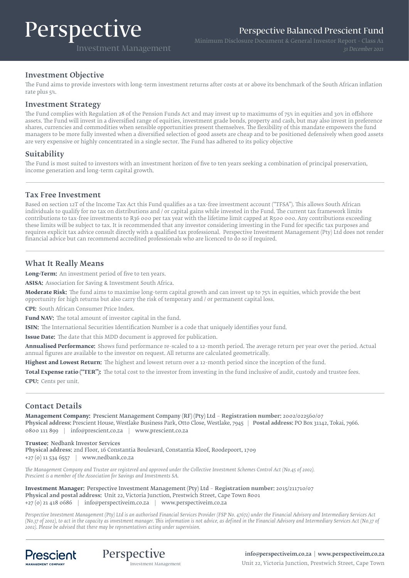# Perspective

Perspective Balanced Prescient Fund

Investment Management

Minimum Disclosure Document & General Investor Report - Class A1

#### Investment Objective

The Fund aims to provide investors with long-term investment returns after costs at or above its benchmark of the South African inflation rate plus 5%.

#### Investment Strategy

The Fund complies with Regulation 28 of the Pension Funds Act and may invest up to maximums of 75% in equities and 30% in offshore assets. The Fund will invest in a diversified range of equities, investment grade bonds, property and cash, but may also invest in preference shares, currencies and commodities when sensible opportunities present themselves. The flexibility of this mandate empowers the fund managers to be more fully invested when a diversified selection of good assets are cheap and to be positioned defensively when good assets are very expensive or highly concentrated in a single sector. The Fund has adhered to its policy objective

#### Suitability

The Fund is most suited to investors with an investment horizon of five to ten years seeking a combination of principal preservation, income generation and long-term capital growth.

#### Tax Free Investment

Based on section 12T of the Income Tax Act this Fund qualifies as a tax-free investment account ("TFSA"). This allows South African individuals to qualify for no tax on distributions and / or capital gains while invested in the Fund. The current tax framework limits contributions to tax-free investments to R36 000 per tax year with the lifetime limit capped at R500 000. Any contributions exceeding these limits will be subject to tax. It is recommended that any investor considering investing in the Fund for specific tax purposes and requires explicit tax advice consult directly with a qualified tax professional. Perspective Investment Management (Pty) Ltd does not render financial advice but can recommend accredited professionals who are licenced to do so if required.

### What It Really Means

**Long-Term:** An investment period of five to ten years.

**ASISA:** Association for Saving & Investment South Africa.

**Moderate Risk:** The fund aims to maximise long-term capital growth and can invest up to 75% in equities, which provide the best opportunity for high returns but also carry the risk of temporary and / or permanent capital loss.

**CPI:** South African Consumer Price Index.

**Fund NAV:** The total amount of investor capital in the fund.

**ISIN:** The International Securities Identification Number is a code that uniquely identifies your fund.

**Issue Date:** The date that this MDD document is approved for publication.

**Annualised Performance:** Shows fund performance re-scaled to a 12-month period. The average return per year over the period. Actual annual figures are available to the investor on request. All returns are calculated geometrically.

**Highest and Lowest Return:** The highest and lowest return over a 12-month period since the inception of the fund.

**Total Expense ratio ("TER"):** The total cost to the investor from investing in the fund inclusive of audit, custody and trustee fees. **CPU:** Cents per unit.

#### Contact Details

**Management Company:** Prescient Management Company (RF) (Pty) Ltd – **Registration number:** 2002/022560/07 **Physical address:** Prescient House, Westlake Business Park, Otto Close, Westlake, 7945 | **Postal address:** PO Box 31142, Tokai, 7966. 0800 111 899 | info@prescient.co.za | www.prescient.co.za

**Trustee:** Nedbank Investor Services **Physical address:** 2nd Floor, 16 Constantia Boulevard, Constantia Kloof, Roodepoort, 1709 +27 (0) 11 534 6557 | www.nedbank.co.za

*The Management Company and Trustee are registered and approved under the Collective Investment Schemes Control Act (No.45 of 2002). Prescient is a member of the Association for Savings and Investments SA.*

**Investment Manager:** Perspective Investment Management (Pty) Ltd – **Registration number:** 2015/211710/07 **Physical and postal address:** Unit 22, Victoria Junction, Prestwich Street, Cape Town 8001 +27 (0) 21 418 0686 | info@perspectiveim.co.za | www.perspectiveim.co.za

*Perspective Investment Management (Pty) Ltd is an authorised Financial Services Provider (FSP No. 47672) under the Financial Advisory and Intermediary Services Act (No.37 of 2002), to act in the capacity as investment manager. This information is not advice, as defined in the Financial Advisory and Intermediary Services Act (N0.37 of 2002). Please be advised that there may be representatives acting under supervision.*